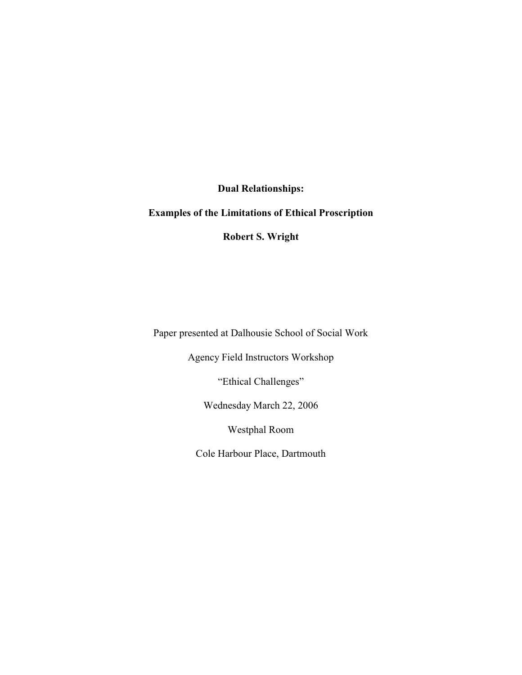**Dual Relationships:**

## **Examples of the Limitations of Ethical Proscription**

**Robert S. Wright**

Paper presented at Dalhousie School of Social Work

Agency Field Instructors Workshop

"Ethical Challenges"

Wednesday March 22, 2006

Westphal Room

Cole Harbour Place, Dartmouth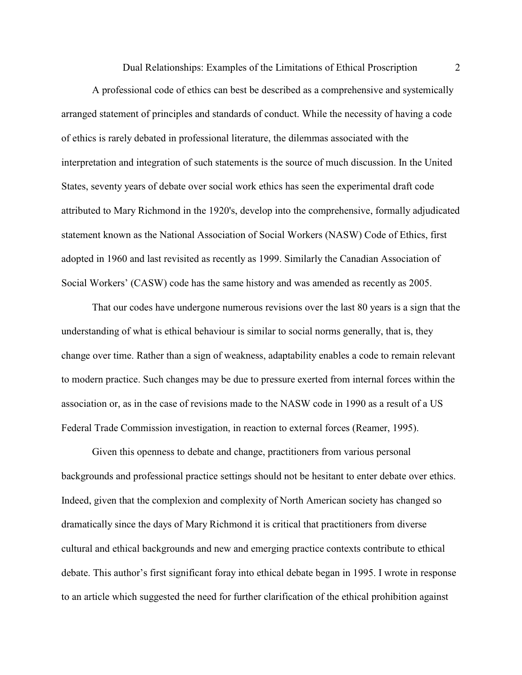Dual Relationships: Examples of the Limitations of Ethical Proscription 2

A professional code of ethics can best be described as a comprehensive and systemically arranged statement of principles and standards of conduct. While the necessity of having a code of ethics is rarely debated in professional literature, the dilemmas associated with the interpretation and integration of such statements is the source of much discussion. In the United States, seventy years of debate over social work ethics has seen the experimental draft code attributed to Mary Richmond in the 1920's, develop into the comprehensive, formally adjudicated statement known as the National Association of Social Workers (NASW) Code of Ethics, first adopted in 1960 and last revisited as recently as 1999. Similarly the Canadian Association of Social Workers' (CASW) code has the same history and was amended as recently as 2005.

That our codes have undergone numerous revisions over the last 80 years is a sign that the understanding of what is ethical behaviour is similar to social norms generally, that is, they change over time. Rather than a sign of weakness, adaptability enables a code to remain relevant to modern practice. Such changes may be due to pressure exerted from internal forces within the association or, as in the case of revisions made to the NASW code in 1990 as a result of a US Federal Trade Commission investigation, in reaction to external forces (Reamer, 1995).

Given this openness to debate and change, practitioners from various personal backgrounds and professional practice settings should not be hesitant to enter debate over ethics. Indeed, given that the complexion and complexity of North American society has changed so dramatically since the days of Mary Richmond it is critical that practitioners from diverse cultural and ethical backgrounds and new and emerging practice contexts contribute to ethical debate. This author's first significant foray into ethical debate began in 1995. I wrote in response to an article which suggested the need for further clarification of the ethical prohibition against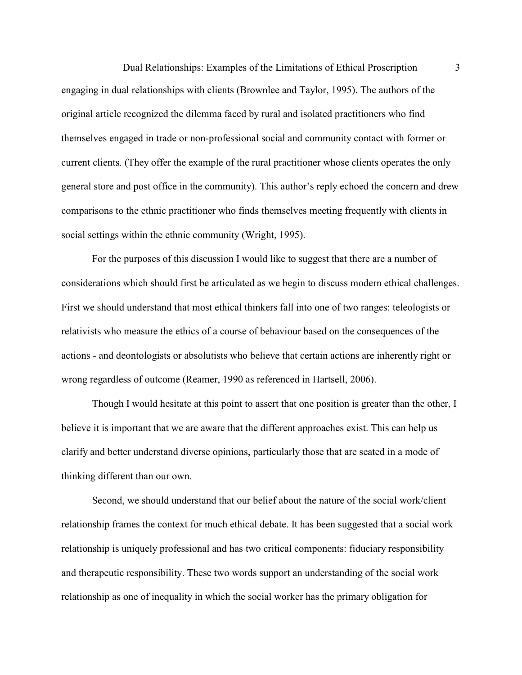Dual Relationships: Examples of the Limitations of Ethical Proscription 3 engaging in dual relationships with clients (Brownlee and Taylor, 1995). The authors of the original article recognized the dilemma faced by rural and isolated practitioners who find themselves engaged in trade or non-professional social and community contact with former or current clients. (They offer the example of the rural practitioner whose clients operates the only general store and post office in the community). This author's reply echoed the concern and drew comparisons to the ethnic practitioner who finds themselves meeting frequently with clients in social settings within the ethnic community (Wright, 1995).

For the purposes of this discussion I would like to suggest that there are a number of considerations which should first be articulated as we begin to discuss modern ethical challenges. First we should understand that most ethical thinkers fall into one of two ranges: teleologists or relativists who measure the ethics of a course of behaviour based on the consequences of the actions - and deontologists or absolutists who believe that certain actions are inherently right or wrong regardless of outcome (Reamer, 1990 as referenced in Hartsell, 2006).

Though I would hesitate at this point to assert that one position is greater than the other, I believe it is important that we are aware that the different approaches exist. This can help us clarify and better understand diverse opinions, particularly those that are seated in a mode of thinking different than our own.

Second, we should understand that our belief about the nature of the social work/client relationship frames the context for much ethical debate. It has been suggested that a social work relationship is uniquely professional and has two critical components: fiduciary responsibility and therapeutic responsibility. These two words support an understanding of the social work relationship as one of inequality in which the social worker has the primary obligation for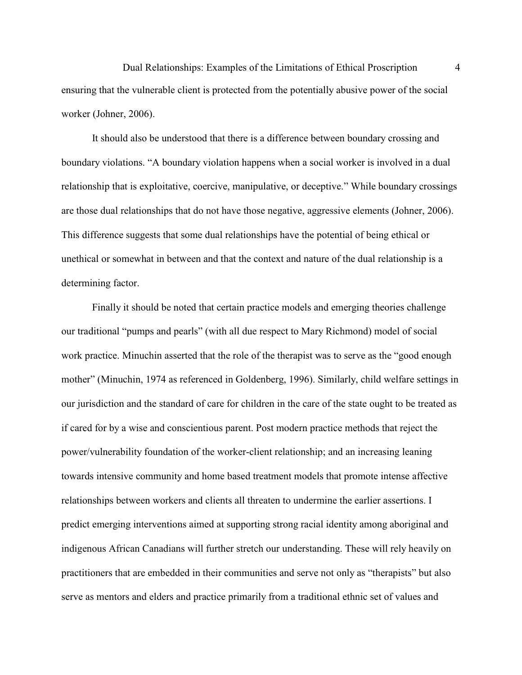Dual Relationships: Examples of the Limitations of Ethical Proscription 4 ensuring that the vulnerable client is protected from the potentially abusive power of the social worker (Johner, 2006).

It should also be understood that there is a difference between boundary crossing and boundary violations. "A boundary violation happens when a social worker is involved in a dual relationship that is exploitative, coercive, manipulative, or deceptive." While boundary crossings are those dual relationships that do not have those negative, aggressive elements (Johner, 2006). This difference suggests that some dual relationships have the potential of being ethical or unethical or somewhat in between and that the context and nature of the dual relationship is a determining factor.

Finally it should be noted that certain practice models and emerging theories challenge our traditional "pumps and pearls" (with all due respect to Mary Richmond) model of social work practice. Minuchin asserted that the role of the therapist was to serve as the "good enough mother" (Minuchin, 1974 as referenced in Goldenberg, 1996). Similarly, child welfare settings in our jurisdiction and the standard of care for children in the care of the state ought to be treated as if cared for by a wise and conscientious parent. Post modern practice methods that reject the power/vulnerability foundation of the worker-client relationship; and an increasing leaning towards intensive community and home based treatment models that promote intense affective relationships between workers and clients all threaten to undermine the earlier assertions. I predict emerging interventions aimed at supporting strong racial identity among aboriginal and indigenous African Canadians will further stretch our understanding. These will rely heavily on practitioners that are embedded in their communities and serve not only as "therapists" but also serve as mentors and elders and practice primarily from a traditional ethnic set of values and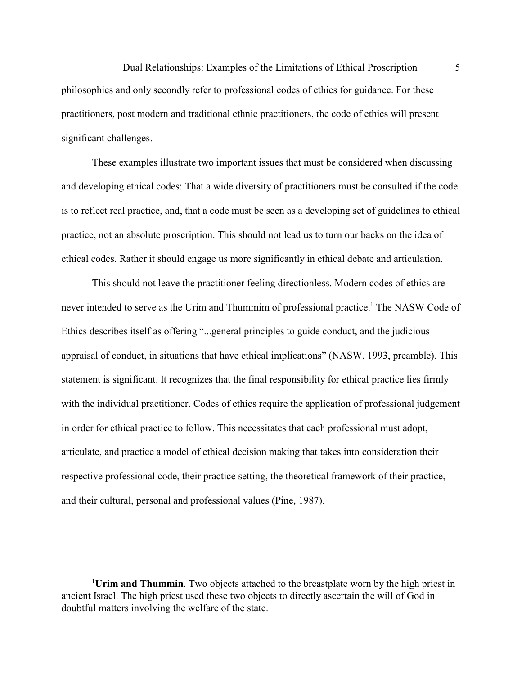Dual Relationships: Examples of the Limitations of Ethical Proscription 5 philosophies and only secondly refer to professional codes of ethics for guidance. For these practitioners, post modern and traditional ethnic practitioners, the code of ethics will present significant challenges.

These examples illustrate two important issues that must be considered when discussing and developing ethical codes: That a wide diversity of practitioners must be consulted if the code is to reflect real practice, and, that a code must be seen as a developing set of guidelines to ethical practice, not an absolute proscription. This should not lead us to turn our backs on the idea of ethical codes. Rather it should engage us more significantly in ethical debate and articulation.

This should not leave the practitioner feeling directionless. Modern codes of ethics are never intended to serve as the Urim and Thummim of professional practice.<sup>1</sup> The NASW Code of Ethics describes itself as offering "...general principles to guide conduct, and the judicious appraisal of conduct, in situations that have ethical implications" (NASW, 1993, preamble). This statement is significant. It recognizes that the final responsibility for ethical practice lies firmly with the individual practitioner. Codes of ethics require the application of professional judgement in order for ethical practice to follow. This necessitates that each professional must adopt, articulate, and practice a model of ethical decision making that takes into consideration their respective professional code, their practice setting, the theoretical framework of their practice, and their cultural, personal and professional values (Pine, 1987).

<sup>&</sup>lt;sup>1</sup>Urim and Thummin. Two objects attached to the breastplate worn by the high priest in ancient Israel. The high priest used these two objects to directly ascertain the will of God in doubtful matters involving the welfare of the state.